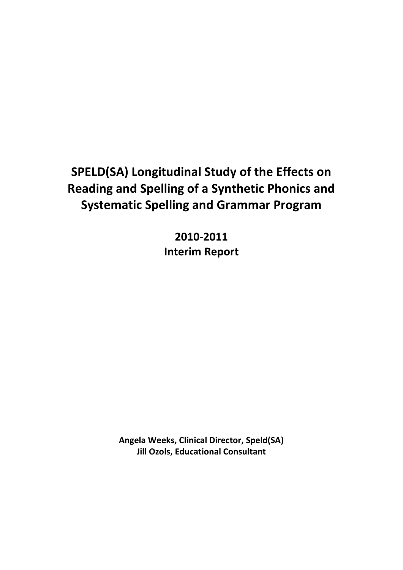# **SPELD(SA) Longitudinal Study of the Effects on Reading and Spelling of a Synthetic Phonics and Systematic Spelling and Grammar Program**

**2010-2011 Interim Report**

**Angela Weeks, Clinical Director, Speld(SA) Jill Ozols, Educational Consultant**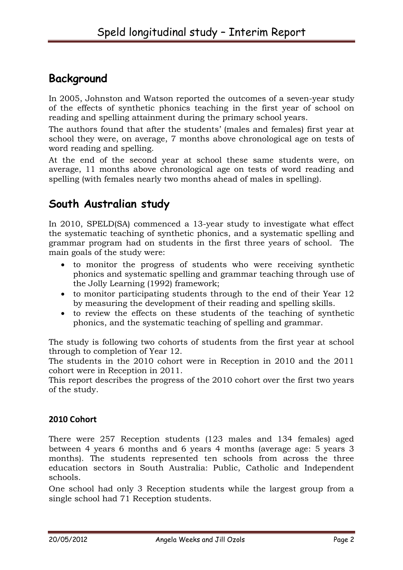## **Background**

In 2005, Johnston and Watson reported the outcomes of a seven-year study of the effects of synthetic phonics teaching in the first year of school on reading and spelling attainment during the primary school years.

The authors found that after the students' (males and females) first year at school they were, on average, 7 months above chronological age on tests of word reading and spelling.

At the end of the second year at school these same students were, on average, 11 months above chronological age on tests of word reading and spelling (with females nearly two months ahead of males in spelling).

# **South Australian study**

In 2010, SPELD(SA) commenced a 13-year study to investigate what effect the systematic teaching of synthetic phonics, and a systematic spelling and grammar program had on students in the first three years of school. The main goals of the study were:

- to monitor the progress of students who were receiving synthetic phonics and systematic spelling and grammar teaching through use of the Jolly Learning (1992) framework;
- to monitor participating students through to the end of their Year 12 by measuring the development of their reading and spelling skills.
- to review the effects on these students of the teaching of synthetic phonics, and the systematic teaching of spelling and grammar.

The study is following two cohorts of students from the first year at school through to completion of Year 12.

The students in the 2010 cohort were in Reception in 2010 and the 2011 cohort were in Reception in 2011.

This report describes the progress of the 2010 cohort over the first two years of the study.

#### **2010 Cohort**

There were 257 Reception students (123 males and 134 females) aged between 4 years 6 months and 6 years 4 months (average age: 5 years 3 months). The students represented ten schools from across the three education sectors in South Australia: Public, Catholic and Independent schools.

One school had only 3 Reception students while the largest group from a single school had 71 Reception students.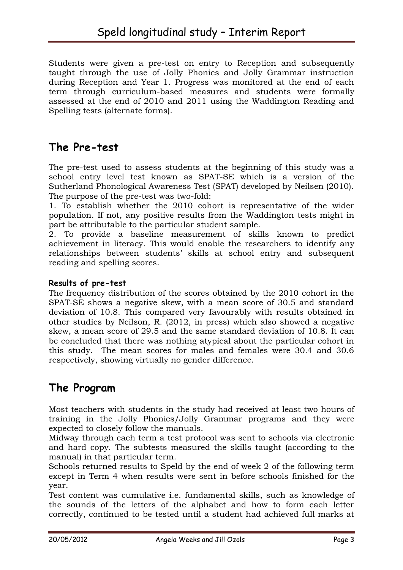Students were given a pre-test on entry to Reception and subsequently taught through the use of Jolly Phonics and Jolly Grammar instruction during Reception and Year 1. Progress was monitored at the end of each term through curriculum-based measures and students were formally assessed at the end of 2010 and 2011 using the Waddington Reading and Spelling tests (alternate forms).

## **The Pre-test**

The pre-test used to assess students at the beginning of this study was a school entry level test known as SPAT-SE which is a version of the Sutherland Phonological Awareness Test (SPAT) developed by Neilsen (2010). The purpose of the pre-test was two-fold:

1. To establish whether the 2010 cohort is representative of the wider population. If not, any positive results from the Waddington tests might in part be attributable to the particular student sample.

2. To provide a baseline measurement of skills known to predict achievement in literacy. This would enable the researchers to identify any relationships between students' skills at school entry and subsequent reading and spelling scores.

#### **Results of pre-test**

The frequency distribution of the scores obtained by the 2010 cohort in the SPAT-SE shows a negative skew, with a mean score of 30.5 and standard deviation of 10.8. This compared very favourably with results obtained in other studies by Neilson, R. (2012, in press) which also showed a negative skew, a mean score of 29.5 and the same standard deviation of 10.8. It can be concluded that there was nothing atypical about the particular cohort in this study. The mean scores for males and females were 30.4 and 30.6 respectively, showing virtually no gender difference.

#### **The Program**

Most teachers with students in the study had received at least two hours of training in the Jolly Phonics/Jolly Grammar programs and they were expected to closely follow the manuals.

Midway through each term a test protocol was sent to schools via electronic and hard copy. The subtests measured the skills taught (according to the manual) in that particular term.

Schools returned results to Speld by the end of week 2 of the following term except in Term 4 when results were sent in before schools finished for the year.

Test content was cumulative i.e. fundamental skills, such as knowledge of the sounds of the letters of the alphabet and how to form each letter correctly, continued to be tested until a student had achieved full marks at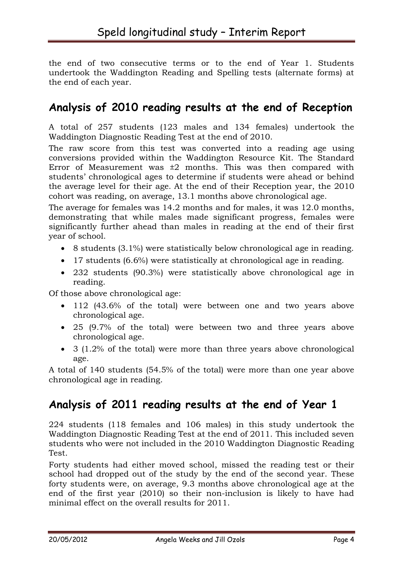the end of two consecutive terms or to the end of Year 1. Students undertook the Waddington Reading and Spelling tests (alternate forms) at the end of each year.

#### **Analysis of 2010 reading results at the end of Reception**

A total of 257 students (123 males and 134 females) undertook the Waddington Diagnostic Reading Test at the end of 2010.

The raw score from this test was converted into a reading age using conversions provided within the Waddington Resource Kit. The Standard Error of Measurement was  $\pm 2$  months. This was then compared with students' chronological ages to determine if students were ahead or behind the average level for their age. At the end of their Reception year, the 2010 cohort was reading, on average, 13.1 months above chronological age.

The average for females was 14.2 months and for males, it was 12.0 months, demonstrating that while males made significant progress, females were significantly further ahead than males in reading at the end of their first year of school.

- 8 students (3.1%) were statistically below chronological age in reading.
- 17 students (6.6%) were statistically at chronological age in reading.
- 232 students (90.3%) were statistically above chronological age in reading.

Of those above chronological age:

- 112 (43.6% of the total) were between one and two years above chronological age.
- 25 (9.7% of the total) were between two and three years above chronological age.
- 3 (1.2% of the total) were more than three years above chronological age.

A total of 140 students (54.5% of the total) were more than one year above chronological age in reading.

#### **Analysis of 2011 reading results at the end of Year 1**

224 students (118 females and 106 males) in this study undertook the Waddington Diagnostic Reading Test at the end of 2011. This included seven students who were not included in the 2010 Waddington Diagnostic Reading Test.

Forty students had either moved school, missed the reading test or their school had dropped out of the study by the end of the second year. These forty students were, on average, 9.3 months above chronological age at the end of the first year (2010) so their non-inclusion is likely to have had minimal effect on the overall results for 2011.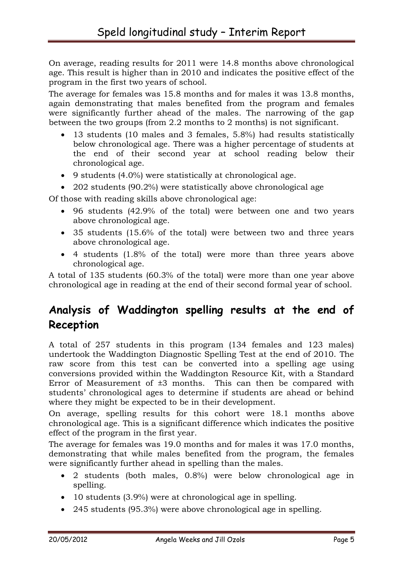On average, reading results for 2011 were 14.8 months above chronological age. This result is higher than in 2010 and indicates the positive effect of the program in the first two years of school.

The average for females was 15.8 months and for males it was 13.8 months, again demonstrating that males benefited from the program and females were significantly further ahead of the males. The narrowing of the gap between the two groups (from 2.2 months to 2 months) is not significant.

- 13 students (10 males and 3 females, 5.8%) had results statistically below chronological age. There was a higher percentage of students at the end of their second year at school reading below their chronological age.
- 9 students (4.0%) were statistically at chronological age.
- 202 students (90.2%) were statistically above chronological age

Of those with reading skills above chronological age:

- 96 students (42.9% of the total) were between one and two years above chronological age.
- 35 students (15.6% of the total) were between two and three years above chronological age.
- 4 students (1.8% of the total) were more than three years above chronological age.

A total of 135 students (60.3% of the total) were more than one year above chronological age in reading at the end of their second formal year of school.

# **Analysis of Waddington spelling results at the end of Reception**

A total of 257 students in this program (134 females and 123 males) undertook the Waddington Diagnostic Spelling Test at the end of 2010. The raw score from this test can be converted into a spelling age using conversions provided within the Waddington Resource Kit, with a Standard Error of Measurement of  $\pm 3$  months. This can then be compared with students' chronological ages to determine if students are ahead or behind where they might be expected to be in their development.

On average, spelling results for this cohort were 18.1 months above chronological age. This is a significant difference which indicates the positive effect of the program in the first year.

The average for females was 19.0 months and for males it was 17.0 months, demonstrating that while males benefited from the program, the females were significantly further ahead in spelling than the males.

- 2 students (both males, 0.8%) were below chronological age in spelling.
- 10 students (3.9%) were at chronological age in spelling.
- 245 students (95.3%) were above chronological age in spelling.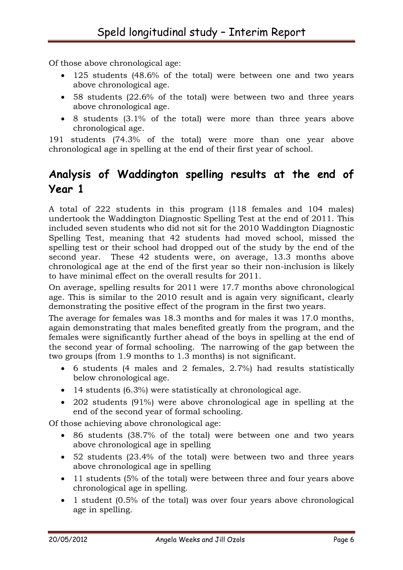Of those above chronological age:

- 125 students (48.6% of the total) were between one and two years above chronological age.
- 58 students (22.6% of the total) were between two and three years above chronological age.
- 8 students (3.1% of the total) were more than three years above chronological age.

191 students (74.3% of the total) were more than one year above chronological age in spelling at the end of their first year of school.

# **Analysis of Waddington spelling results at the end of Year 1**

A total of 222 students in this program (118 females and 104 males) undertook the Waddington Diagnostic Spelling Test at the end of 2011. This included seven students who did not sit for the 2010 Waddington Diagnostic Spelling Test, meaning that 42 students had moved school, missed the spelling test or their school had dropped out of the study by the end of the second year. These 42 students were, on average, 13.3 months above chronological age at the end of the first year so their non-inclusion is likely to have minimal effect on the overall results for 2011.

On average, spelling results for 2011 were 17.7 months above chronological age. This is similar to the 2010 result and is again very significant, clearly demonstrating the positive effect of the program in the first two years.

The average for females was 18.3 months and for males it was 17.0 months, again demonstrating that males benefited greatly from the program, and the females were significantly further ahead of the boys in spelling at the end of the second year of formal schooling. The narrowing of the gap between the two groups (from 1.9 months to 1.3 months) is not significant.

- 6 students (4 males and 2 females, 2.7%) had results statistically below chronological age.
- 14 students (6.3%) were statistically at chronological age.
- 202 students (91%) were above chronological age in spelling at the end of the second year of formal schooling.

Of those achieving above chronological age:

- 86 students (38.7% of the total) were between one and two years above chronological age in spelling
- 52 students (23.4% of the total) were between two and three years above chronological age in spelling
- 11 students (5% of the total) were between three and four years above chronological age in spelling.
- 1 student (0.5% of the total) was over four years above chronological age in spelling.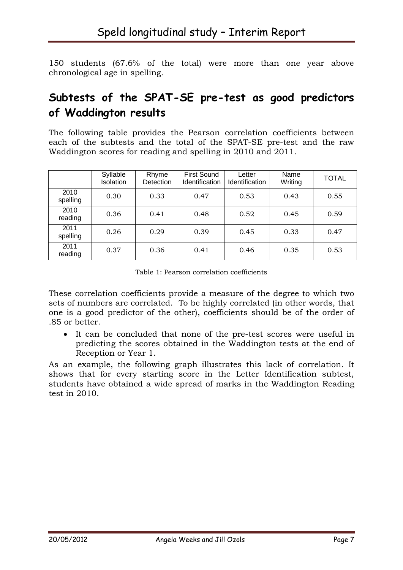150 students (67.6% of the total) were more than one year above chronological age in spelling.

# **Subtests of the SPAT-SE pre-test as good predictors of Waddington results**

The following table provides the Pearson correlation coefficients between each of the subtests and the total of the SPAT-SE pre-test and the raw Waddington scores for reading and spelling in 2010 and 2011.

|                  | Syllable<br>Isolation | Rhyme<br><b>Detection</b> | <b>First Sound</b><br><b>Identification</b> | Letter<br>Identification | Name<br>Writing | <b>TOTAL</b> |
|------------------|-----------------------|---------------------------|---------------------------------------------|--------------------------|-----------------|--------------|
| 2010<br>spelling | 0.30                  | 0.33                      | 0.47                                        | 0.53                     | 0.43            | 0.55         |
| 2010<br>reading  | 0.36                  | 0.41                      | 0.48                                        | 0.52                     | 0.45            | 0.59         |
| 2011<br>spelling | 0.26                  | 0.29                      | 0.39                                        | 0.45                     | 0.33            | 0.47         |
| 2011<br>reading  | 0.37                  | 0.36                      | 0.41                                        | 0.46                     | 0.35            | 0.53         |

Table 1: Pearson correlation coefficients

These correlation coefficients provide a measure of the degree to which two sets of numbers are correlated. To be highly correlated (in other words, that one is a good predictor of the other), coefficients should be of the order of .85 or better.

 It can be concluded that none of the pre-test scores were useful in predicting the scores obtained in the Waddington tests at the end of Reception or Year 1.

As an example, the following graph illustrates this lack of correlation. It shows that for every starting score in the Letter Identification subtest, students have obtained a wide spread of marks in the Waddington Reading test in 2010.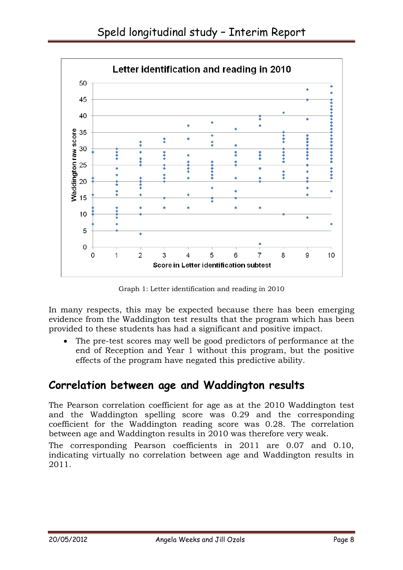

Graph 1: Letter identification and reading in 2010

In many respects, this may be expected because there has been emerging evidence from the Waddington test results that the program which has been provided to these students has had a significant and positive impact.

 The pre-test scores may well be good predictors of performance at the end of Reception and Year 1 without this program, but the positive effects of the program have negated this predictive ability.

#### **Correlation between age and Waddington results**

The Pearson correlation coefficient for age as at the 2010 Waddington test and the Waddington spelling score was 0.29 and the corresponding coefficient for the Waddington reading score was 0.28. The correlation between age and Waddington results in 2010 was therefore very weak.

The corresponding Pearson coefficients in 2011 are 0.07 and 0.10, indicating virtually no correlation between age and Waddington results in 2011.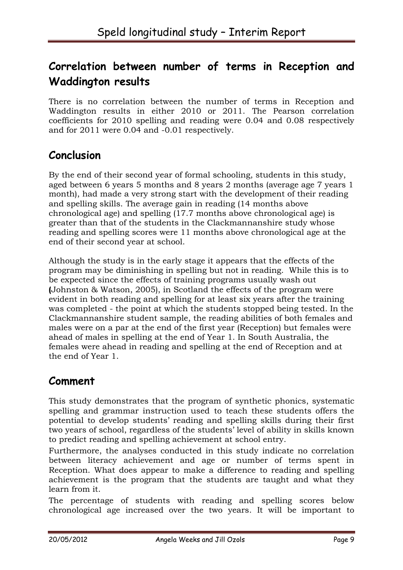# **Correlation between number of terms in Reception and Waddington results**

There is no correlation between the number of terms in Reception and Waddington results in either 2010 or 2011. The Pearson correlation coefficients for 2010 spelling and reading were 0.04 and 0.08 respectively and for 2011 were 0.04 and -0.01 respectively.

## **Conclusion**

By the end of their second year of formal schooling, students in this study, aged between 6 years 5 months and 8 years 2 months (average age 7 years 1 month), had made a very strong start with the development of their reading and spelling skills. The average gain in reading (14 months above chronological age) and spelling (17.7 months above chronological age) is greater than that of the students in the Clackmannanshire study whose reading and spelling scores were 11 months above chronological age at the end of their second year at school.

Although the study is in the early stage it appears that the effects of the program may be diminishing in spelling but not in reading. While this is to be expected since the effects of training programs usually wash out **(**Johnston & Watson, 2005), in Scotland the effects of the program were evident in both reading and spelling for at least six years after the training was completed - the point at which the students stopped being tested. In the Clackmannanshire student sample, the reading abilities of both females and males were on a par at the end of the first year (Reception) but females were ahead of males in spelling at the end of Year 1. In South Australia, the females were ahead in reading and spelling at the end of Reception and at the end of Year 1.

# **Comment**

This study demonstrates that the program of synthetic phonics, systematic spelling and grammar instruction used to teach these students offers the potential to develop students' reading and spelling skills during their first two years of school, regardless of the students' level of ability in skills known to predict reading and spelling achievement at school entry.

Furthermore, the analyses conducted in this study indicate no correlation between literacy achievement and age or number of terms spent in Reception. What does appear to make a difference to reading and spelling achievement is the program that the students are taught and what they learn from it.

The percentage of students with reading and spelling scores below chronological age increased over the two years. It will be important to